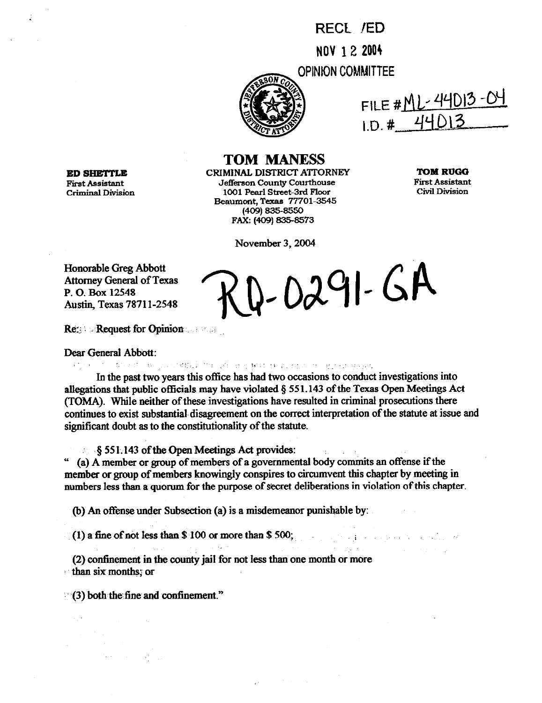RECt !ED NOV **1 2 2004** 

**PINIONCOMMITTEE** 



FILE # <u>ML-44DI3-04</u>  $1. D. # 440$ 

**TOM MANESS** 

**ED SHETTLE** CRIMINAL DISTRICT ATTORNEY<br>First Assistant defferson County Courthouse **First Assistant Jefferson County Courthouse Criminal Division 1001 Pearl street-3rd Floor Beaumcnt, Texas 77701.3545 14091835-8550**  FAX: (409) 835-8573

**TOM RUG0 First Assistant Civil Division** 

November 3,2004

Honorable Greg Abbott Attorney General of Texas P. 0. Box 12548 Austin, Texas 7871 I-2548

 $2-0291-GA$ 

 $\label{eq:2.1} \frac{1}{2} \left( \frac{1}{2} \left( \frac{1}{2} \right)^2 + \frac{1}{2} \left( \frac{1}{2} \left( \frac{1}{2} \right)^2 + \frac{1}{2} \left( \frac{1}{2} \right)^2 + \frac{1}{2} \left( \frac{1}{2} \right)^2 + \frac{1}{2} \left( \frac{1}{2} \right)^2 + \frac{1}{2} \left( \frac{1}{2} \right)^2 \right) \right) \, .$ 

**Request for Opinion is a state** 

Dear General Abbott:

..~. . .~

In the past two years this office has had two occasions to conduct investigations into allegations that public officials may have violated  $\S$  551.143 of the Texas Open Meetings Act (TOMA). While neither of these investigations have resulted in criminal prosecutions there continues to exist substantial disagreement on the correct interpretation of the statute at issue and significant doubt as to the constitutionality of the statute.

• ... § 551.143 of the Open Meetings Act provides:

 $u$  (a) A member or group of members of a governmental body commits an offense if the member or group of members knowingly conspires to circumvent this chapter by meeting in numbers leas than a quorum for the purpose of secret deliberations in violation of this chapter.

(b) An offense under Subsection (a) is a misdemeanor punishable by:

(1) a fine of not less than  $$100$  or more than  $$500;$ 

 $\mathcal{F} = \{f_1, \dots, f_{n-1}\}$  . (2) confinement in the county jail for not less than one month or more -~thansixmonths~or

(3) both the fine and confinement."

 $\mathcal{F}(\mathcal{A})$  $\frac{1}{2} \int_{\mathbb{R}^2} \frac{1}{\sqrt{2}} \, \mathrm{d} x$ 

 $\mathcal{A}_k$  is a set of  $\mathcal{A}_k$  .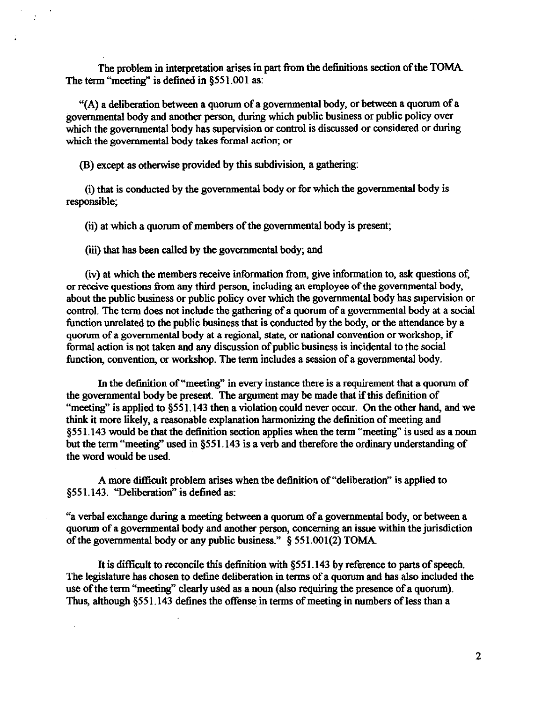The problem in interpretation arises in part from the detinitions section of the TOMA The term "meeting" is defined in §551.001 as:

"(A) a deliberation between a quorum of a governmental body, or between a quorum of a governmental body and another person, during which public business or public policy over which the governmental body has supervision or control is discussed or considered or during which the governmental body takes formal action; or

@) except as otherwise provided by this subdivision, a gathering:

Å

(i) that is conducted by the governmental body or for which the governmental body is responsible;

(ii) at which a quorum of members of the govermnental body is present;

(iii) that has been called by the governmental body; and

(iv) at which the members receive information from, give information to, ask questions of, or receive questions from any third person, including an employee of the governmental body, about the public business or public policy over which the governmental body has supervision or control. The term does not include the gathering of a quorum of a governmental body at a social function unrelated to the public business that is conducted by the body, or the attendance by a quorum of a governmental body at a regional, state, or national convention or workshop, if format action is not taken and any discussion of public business is incidental to the social timction, convention, or workshop. The term includes a session of a governmental body.

In the definition of "meeting" in every instance there is a requirement that a quorum of the governmental body be present. The argument may be made that if this definition of "meeting" is applied to §551.143 then a violation could never occur. On the other hand, and we think it more likely, a reasonable explanation harmonizing the detinition of meeting and §551.143 would be that the definition section applies when the term "meeting" is used as a noun but the term "meeting" used in \$551.143 is a verb and therefore the ordinary understanding of the word would be used.

A more difficult problem arises when the definition of "deliberation" is applied to §551.143. "Deliberation" is defined as:

"a verbal exchange during a meeting between a quorum of a governmental body, or between a quorum of a governmental body and another person concerning an issue within the jurisdiction of the governmental body or any public business."  $\S$  551.001(2) TOMA.

It is difficult to reconcile this definition with  $§$ 551.143 by reference to parts of speech. The legislature has chosen to detine deliberation in terms of a quorum and has also included the use of the term "meeting" clearly used as a noun (also requiring the presence of a quorum). Thus, although \$551.143 defines the offense in terms of meeting in numbers of less than a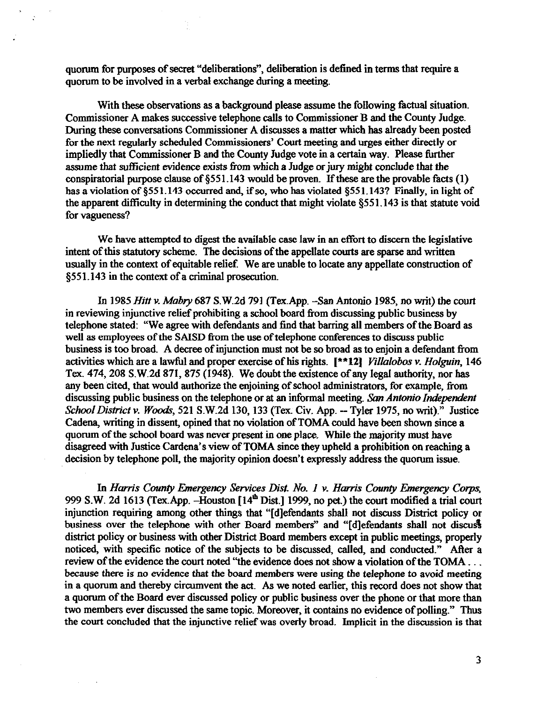quorum for purposes of secret "deliberations", deliberation is defined in terms that require a quorum to be involved in a verbal exchange during a meeting.

With these observations as a background please assume the following factual situation. Commissioner A makes successive telephone calls to Commissioner B and the County Judge. During these conversations Commissioner A discusses a matter which has already been posted for the next regularly scheduled Commissioners' Court meeting and urges either directly or impliedly that Commissioner B and the County Judge vote in a certain way. Please further assume that sufficient evidence exists from which a Judge or jury might conclude that the conspiratorial purpose clause of  $\S$ 551.143 would be proven. If these are the provable facts (1) has a violation of §551.143 occurred and, if so, who has violated §551.143? Finally, in light of the apparent difficulty in determining the conduct that might violate \$551.143 is that statute void for vagueness?

We have attempted to digest the available case law in an effort to discern the legislative intent of this statutory scheme. The decisions of the appellate courts are sparse and written usually in the context of equitable relief. We are unable to locate any appellate construction of \$551.143 in the context of a criminal prosecution.

In 1985 *Hitt v. Mabry* 687 S.W.2d 791 (Tex.App. - San Antonio 1985, no writ) the court in reviewing injunctive relief prohibiting a school board from discussing public business by telephone stated: "We agree with defendants and find tbat barring all members of the Board as well as employees of the SAISD from the use of telephone conferences to discuss public business is too broad. A decree of injunction must not be so broad as to enjoin a defendant from activities which are a lawful and proper exercise of his rights. [\*\*12] villalobos v. *HoIguin,* 146 Tex. 474, 208 S.W.2d 871, 875 (1948). We doubt the existence of any legal authority, nor has any been cited, that would authorize the enjoining of school administrators, for example, from discussing public business on the telephone or *at an informal* meeting. *San Antonio Independent School District v. Woods*, 521 S.W.2d 130, 133 (Tex. Civ. App. - Tyler 1975, no writ)." Justice Cadena, writing in dissent, opined that no violation of TOMA could have been shown since a quorum of the school board was never present in one place. While the majority must have disagreed with Justice Cardena's view of TOMA since they upheld a prohibition on reaching a decision by telephone poll, the majority opinion doesn't expressly address the quorum issue.

In *Harris County Emergency Services Dist. No. 1 v. Harris County Emergency Corps*, 999 S.W. 2d 1613 (Tex App. - Houston [14<sup>th</sup> Dist.] 1999, no pet.) the court modified a trial court injunction requiring among other things that "[d]efendants shall not discuss District policy or business over the telephone with other Board members" and "[d]efendants shall not discuss district policy or business with other District Board members except in public meetings, properly noticed, with specific notice of the subjects to be discussed, called, and conducted." After a review of the evidence the court noted "the evidence does not show a violation of the TOMA ... because there is no evidence that the board members were using the telephone to avoid meeting in a quorum and thereby circumvent the act. As we noted earlier, this record does not show that a quorum of the Board ever discussed policy or public business over the phone or that more than two members ever discussed the same topic. Moreover, it contains no evidence of polling." Thus the court concluded that the injunctive reliefwas overly broad. Implicit in the discussion is that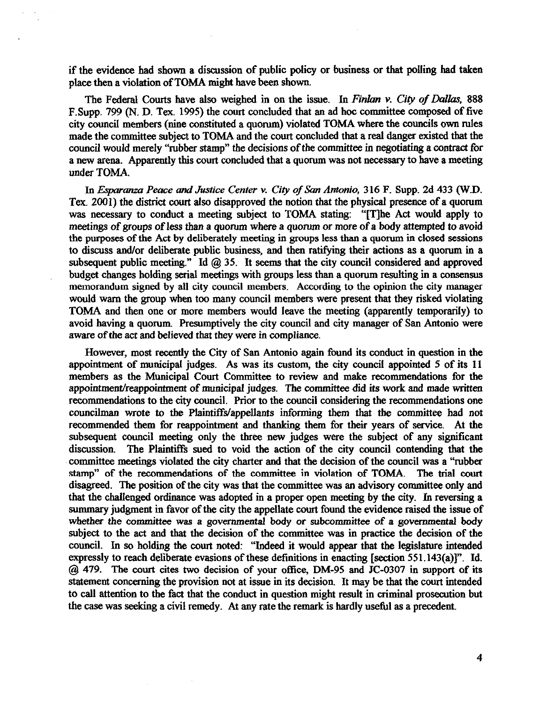if the evidence had shown a discussion of public policy or business or that polling had taken place then a violation of TOMA might have been shown.

The Federal Courts have also weighed in on the issue. In *Finlan v. City of Dallas*, 888 F.Supp. 799 (N. D. Tex. 1995) the court concluded that an ad hoc committee composed of five city council members (nine constituted a quorum) violated TOMA where the councils own rules made the committee subject to TOMA and the court concluded that a real danger existed that the council would merely "rubber stamp" the decisions of the committee in negotiating a contract for a new arena. Apparently this court concluded that a quorum was not necessary to have a meeting under TOMA.

In *Esparanza Peace and Justice Center v. City of San Antonio*, 316 F. Supp. 2d 433 (W.D. Tex. 2001) the district court also disapproved the notion that the physical presence of a quorum was necessary to conduct a meeting subject to TOMA stating: "[T]he Act would apply to meetings of groups of less than a quorum where a quorum *or* more of a body attempted to avoid the purposes of the Act by deliberately meeting in groups less than a quorum in closed sessions to discuss and/or deliberate public business, and then ratifying their actions as a quorum in a subsequent public meeting." Id @ 35. It seems that the city council considered and approved budget changes holding serial meetings with groups less than a quorum resulting in a consensus memorandum signed by all city council members. According to the opinion the city manager would warn the group when too many council members were present that they risked violating TOMA and then one or more members would leave the meeting (apparently temporariIy) to avoid having a quorum. Presumptively the city council and city manager of San Antonio were aware of the act and believed that they were in compliance.

However, most recently the City of San Antonio again found its conduct in question in the appointment of municipal judges. As was its custom, the city council appointed 5 of its 11 members as the Municipal Court Committee to review and make recommendations for the appointment/reappointment of municipal judges. The committee did its work and made written recommendations to the city council. Prior to the council considering the recommendations one councilman wrote to the Plaintiffs/appellants informing them that the committee had not recommended them for reappointment and thanking them for their years of service. At the subsequent council meeting only the three new judges were the subject of any significant discussion. The Plaintiffs sued to void the action of the city council contending that the committee meetings violated the city charter and that the decision of the council was a "rubber stamp" of the recommendations of the committee in violation of TOMA. The trial court disagreed. The position of the city was that the committee was an advisory committee only and that the challenged ordinance was adopted in a proper open meeting by the city. In reversing a summary judgment in favor of the city the appellate court found the evidence raised the issue of whether the committee was a *governmental body or* subcommittee of a governmental body subject to the act and that the decision of the committee was in practice the decision of the council. In so holding the court noted: "Indeed it would appear that the legislature intended expressly to reach deliberate evasions of these definitions in enacting [section 551.143(a)]". Id. @ 479. The court cites two decision of your office, DM-95 and JC-0307 in support of its statement concerning the provision not at issue in its decision. It may be that the court intended to call attention to the fact that the conduct in question might result in criminal prosecution but the case was seeking a civil remedy. At any rate the remark is hardly useful as a precedent.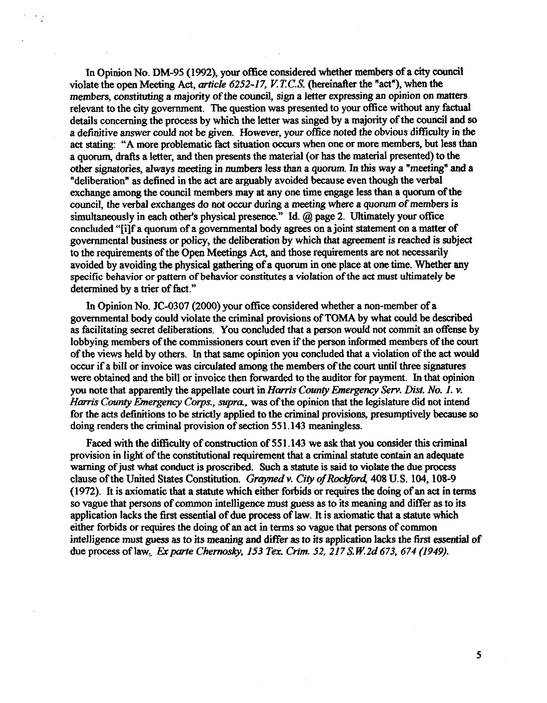In Opinion No. DM-95 (1992), your office considered whether members of a city council violate the open Meeting Act, article 6252-17, V.T.C.S. (hereinafter the "act"), when the members, constituting a majority of the council, sign a letter expressing an opinion on matters relevant to the city government. The question was presented to your office without any factual details concerning the process by which the letter was singed by a majority of the council and so a definitive answer could not be given. However, your office noted the obvious difficulty in the act stating: "A more problematic fact situation occurs when one or more members, but less than a quorum, drafts a letter, and then presents the material (or has the material presented) to the other signatories, always meeting in numbers less than a quorum. In this way a "meeting" and a "deliberation" as defined in the act are arguably avoided because even though the verbal exchange among the council members may at any one time engage less than a quorum of the council, the verbal exchanges do not occur during a meeting where a quorum of members is simultaneously in each other's physical presence." Id. @ page 2. Ultimately your office concluded "[i]f a quorum of a governmental body agrees on a joint statement on a matter of governmental business or policy, the deliberation by which that agreement is reached is subject to the requirements of the Open Meetings Act, and those requirements are not necessarily avoided by avoiding the physical gathering of a quorum in one place at one time. Whether any specific behavior or pattern of behavior constitutes a violation of the act must ultimately be determined by a trier of fact."

In Opinion No. JC-0307 (2000) your office considered whether a non-member of a governmental body could violate the criminal provisions of TOMA by what could be described as facilitating secret deliberations. You concluded that a person would not commit an offense by lobbying members of the commissioners court even if the person informed members of the court of the views held by others. In that same opinion you concluded that a violation of the act would occur if a bill or invoice was circulated among the members of the court until three sigaatures were obtained and the bill or invoice then forwarded to the auditor for payment. In that opinion you note that apparently the appellate court in *Harris County Emergency Serv. Dist. No. 1. v. Harris County Emergency Corps., supra., was of the opinion that the legislature did not intend* for the acts definitions to be strictly applied to the criminal provisions, presumptively because so doing renders the criminal provision of section 55 1.143 meaningless.

Faced with the difficulty of construction of 551.143 we ask that you consider this criminal provision in light of the constitutional requirement that a criminal statute contain an adequate warning of just what conduct is proscribed. Such a statute is said to violate the due process clause of the United States Constitution. *Grayned v. City of Rockford*, 408 U.S. 104, 108-9 (1972). It is axiomatic that a statute which either forbids or requires the doing of an act in terms so vague that persons of common intelligence must guess as to its meaning and differ as to its application lacks the first essential of due process of law. It is axiomatic that a statute which either forbids or requires the doing of an act in terms so vague that persons of common intelligence must guess as to its meaning and differ as to its application lacks the first essential of due process of law. *Ex parte Chernosky, 153 Tex. Crim. 52, 217 S.W.2d 673, 674 (1949).*